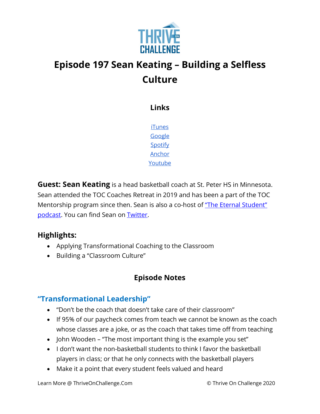

# **Episode 197 Sean Keating – Building a Selfless Culture**

**Links**

[iTunes](https://podcasts.apple.com/us/podcast/coaching-culture/id1286560192) [Google](https://podcasts.google.com/feed/aHR0cHM6Ly9mZWVkcy5zb3VuZGNsb3VkLmNvbS91c2Vycy9zb3VuZGNsb3VkOnVzZXJzOjQxMDQyNzcvc291bmRzLnJzcw?ved=2ahUKEwiSpYquy9vqAhVbQUEAHSAkC88Q4aUDegQIARAC) [Spotify](https://open.spotify.com/show/336Hs8udk8s0yXuK3BzSOq) [Anchor](https://anchor.fm/coachingculturepodcast) [Youtube](https://www.youtube.com/channel/UC3vIljCBzwHcPyVIx9kiHvw)

**Guest: Sean Keating** is a head basketball coach at St. Peter HS in Minnesota. Sean attended the TOC Coaches Retreat in 2019 and has been a part of the TOC Mentorship program since then. Sean is also a co-host of "The Eternal Student" [podcast.](https://podcasts.apple.com/us/podcast/the-eternal-student/id1506185733) You can find Sean on [Twitter.](https://twitter.com/CoachKeating)

### **Highlights:**

- Applying Transformational Coaching to the Classroom
- Building a "Classroom Culture"

## **Episode Notes**

## **"Transformational Leadership"**

- "Don't be the coach that doesn't take care of their classroom"
- If 95% of our paycheck comes from teach we cannot be known as the coach whose classes are a joke, or as the coach that takes time off from teaching
- John Wooden "The most important thing is the example you set"
- I don't want the non-basketball students to think I favor the basketball players in class; or that he only connects with the basketball players
- Make it a point that every student feels valued and heard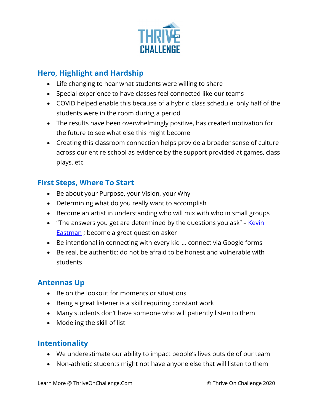

## **Hero, Highlight and Hardship**

- Life changing to hear what students were willing to share
- Special experience to have classes feel connected like our teams
- COVID helped enable this because of a hybrid class schedule, only half of the students were in the room during a period
- The results have been overwhelmingly positive, has created motivation for the future to see what else this might become
- Creating this classroom connection helps provide a broader sense of culture across our entire school as evidence by the support provided at games, class plays, etc

### **First Steps, Where To Start**

- Be about your Purpose, your Vision, your Why
- Determining what do you really want to accomplish
- Become an artist in understanding who will mix with who in small groups
- "The answers you get are determined by the questions you ask" Kevin [Eastman](https://kevineastman.net/) ; become a great question asker
- Be intentional in connecting with every kid … connect via Google forms
- Be real, be authentic; do not be afraid to be honest and vulnerable with students

### **Antennas Up**

- Be on the lookout for moments or situations
- Being a great listener is a skill requiring constant work
- Many students don't have someone who will patiently listen to them
- Modeling the skill of list

### **Intentionality**

- We underestimate our ability to impact people's lives outside of our team
- Non-athletic students might not have anyone else that will listen to them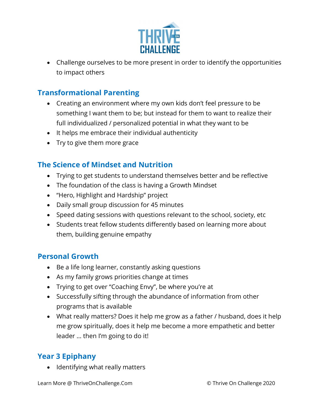

• Challenge ourselves to be more present in order to identify the opportunities to impact others

#### **Transformational Parenting**

- Creating an environment where my own kids don't feel pressure to be something I want them to be; but instead for them to want to realize their full individualized / personalized potential in what they want to be
- It helps me embrace their individual authenticity
- Try to give them more grace

### **The Science of Mindset and Nutrition**

- Trying to get students to understand themselves better and be reflective
- The foundation of the class is having a Growth Mindset
- "Hero, Highlight and Hardship" project
- Daily small group discussion for 45 minutes
- Speed dating sessions with questions relevant to the school, society, etc
- Students treat fellow students differently based on learning more about them, building genuine empathy

#### **Personal Growth**

- Be a life long learner, constantly asking questions
- As my family grows priorities change at times
- Trying to get over "Coaching Envy", be where you're at
- Successfully sifting through the abundance of information from other programs that is available
- What really matters? Does it help me grow as a father / husband, does it help me grow spiritually, does it help me become a more empathetic and better leader … then I'm going to do it!

### **Year 3 Epiphany**

• Identifying what really matters